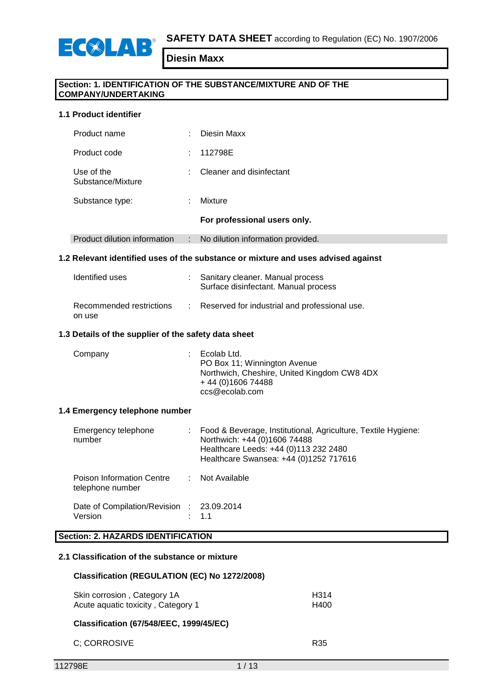

## **Section: 1. IDENTIFICATION OF THE SUBSTANCE/MIXTURE AND OF THE COMPANY/UNDERTAKING**

## **1.1 Product identifier**

ECOLAB

|                                 |   | For professional users only. |
|---------------------------------|---|------------------------------|
| Substance type:                 | ٠ | Mixture                      |
| Use of the<br>Substance/Mixture | ÷ | Cleaner and disinfectant     |
| Product code                    | ÷ | 112798E                      |
| Product name                    | ٠ | Diesin Maxx                  |

## Product dilution information : No dilution information provided.

#### **1.2 Relevant identified uses of the substance or mixture and uses advised against**

| Identified uses                    | : Sanitary cleaner. Manual process<br>Surface disinfectant. Manual process |
|------------------------------------|----------------------------------------------------------------------------|
| Recommended restrictions<br>on use | : Reserved for industrial and professional use.                            |

#### **1.3 Details of the supplier of the safety data sheet**

| Company |  | $\therefore$ Ecolab Ltd.<br>PO Box 11; Winnington Avenue<br>Northwich, Cheshire, United Kingdom CW8 4DX<br>$+44(0)160674488$<br>ccs@ecolab.com |
|---------|--|------------------------------------------------------------------------------------------------------------------------------------------------|
|---------|--|------------------------------------------------------------------------------------------------------------------------------------------------|

#### **1.4 Emergency telephone number**

| Emergency telephone<br>number                        | Food & Beverage, Institutional, Agriculture, Textile Hygiene:<br>Northwich: +44 (0)1606 74488<br>Healthcare Leeds: +44 (0)113 232 2480<br>Healthcare Swansea: +44 (0)1252 717616 |
|------------------------------------------------------|----------------------------------------------------------------------------------------------------------------------------------------------------------------------------------|
| Poison Information Centre<br>telephone number        | : Not Available                                                                                                                                                                  |
| Date of Compilation/Revision : 23.09.2014<br>Version | : 1.1                                                                                                                                                                            |

## **Section: 2. HAZARDS IDENTIFICATION**

## **2.1 Classification of the substance or mixture**

#### **Classification (REGULATION (EC) No 1272/2008)**

| Skin corrosion, Category 1A        | H314 |
|------------------------------------|------|
| Acute aquatic toxicity, Category 1 | H400 |

## **Classification (67/548/EEC, 1999/45/EC)**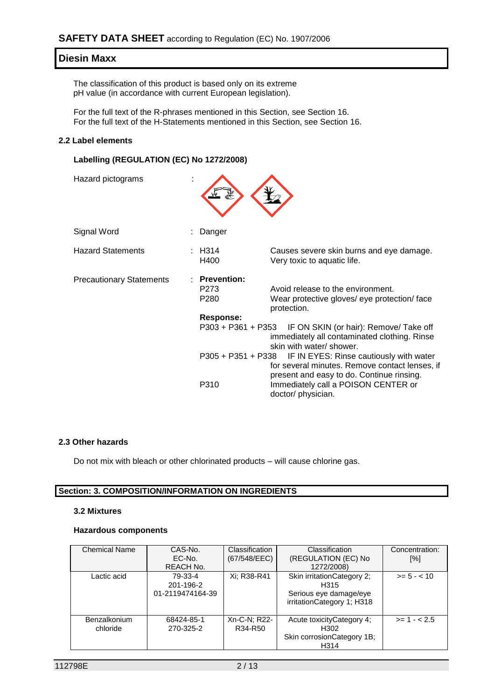The classification of this product is based only on its extreme pH value (in accordance with current European legislation).

For the full text of the R-phrases mentioned in this Section, see Section 16. For the full text of the H-Statements mentioned in this Section, see Section 16.

#### **2.2 Label elements**

## **Labelling (REGULATION (EC) No 1272/2008)**

| Hazard pictograms               |                                                             |                                                                                                                                        |
|---------------------------------|-------------------------------------------------------------|----------------------------------------------------------------------------------------------------------------------------------------|
| Signal Word                     | Danger                                                      |                                                                                                                                        |
| <b>Hazard Statements</b>        | : H314<br>H400                                              | Causes severe skin burns and eye damage.<br>Very toxic to aquatic life.                                                                |
| <b>Precautionary Statements</b> | <b>Prevention:</b><br>P273<br>P <sub>280</sub><br>Response: | Avoid release to the environment.<br>Wear protective gloves/ eye protection/ face<br>protection.                                       |
|                                 |                                                             | P303 + P361 + P353 IF ON SKIN (or hair): Remove/ Take off<br>immediately all contaminated clothing. Rinse<br>skin with water/ shower.  |
|                                 | P305 + P351 + P338                                          | IF IN EYES: Rinse cautiously with water<br>for several minutes. Remove contact lenses, if<br>present and easy to do. Continue rinsing. |
|                                 | P310                                                        | Immediately call a POISON CENTER or<br>doctor/ physician.                                                                              |

#### **2.3 Other hazards**

Do not mix with bleach or other chlorinated products – will cause chlorine gas.

#### **Section: 3. COMPOSITION/INFORMATION ON INGREDIENTS**

#### **3.2 Mixtures**

#### **Hazardous components**

| <b>Chemical Name</b>            | CAS-No.<br>EC-No.<br><b>REACH No.</b>    | <b>Classification</b><br>(67/548/EEC) | Classification<br>(REGULATION (EC) No<br>1272/2008)                                         | Concentration:<br>[%] |
|---------------------------------|------------------------------------------|---------------------------------------|---------------------------------------------------------------------------------------------|-----------------------|
| Lactic acid                     | 79-33-4<br>201-196-2<br>01-2119474164-39 | Xi: R38-R41                           | Skin irritation Category 2;<br>H315<br>Serious eye damage/eye<br>irritationCategory 1; H318 | $>= 5 - < 10$         |
| <b>Benzalkonium</b><br>chloride | 68424-85-1<br>270-325-2                  | Xn-C-N; R22-<br>R34-R50               | Acute toxicityCategory 4;<br>H302<br>Skin corrosion Category 1B;<br>H314                    | $>= 1 - 2.5$          |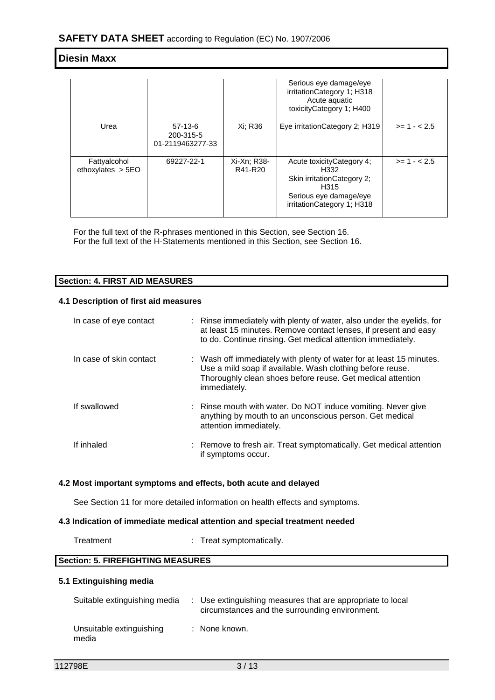|                                     |                                            |                        | Serious eye damage/eye<br>irritationCategory 1; H318<br>Acute aquatic<br>toxicityCategory 1; H400                                  |              |
|-------------------------------------|--------------------------------------------|------------------------|------------------------------------------------------------------------------------------------------------------------------------|--------------|
| Urea                                | $57-13-6$<br>200-315-5<br>01-2119463277-33 | Xi: R36                | Eye irritation Category 2; H319                                                                                                    | $>= 1 - 2.5$ |
| Fattyalcohol<br>ethoxylates $> 5EO$ | 69227-22-1                                 | Xi-Xn; R38-<br>R41-R20 | Acute toxicity Category 4;<br>H332<br>Skin irritation Category 2:<br>H315<br>Serious eye damage/eye<br>irritation Category 1; H318 | $>= 1 - 2.5$ |

For the full text of the R-phrases mentioned in this Section, see Section 16. For the full text of the H-Statements mentioned in this Section, see Section 16.

### **Section: 4. FIRST AID MEASURES**

#### **4.1 Description of first aid measures**

| In case of eye contact  | : Rinse immediately with plenty of water, also under the eyelids, for<br>at least 15 minutes. Remove contact lenses, if present and easy<br>to do. Continue rinsing. Get medical attention immediately.         |
|-------------------------|-----------------------------------------------------------------------------------------------------------------------------------------------------------------------------------------------------------------|
| In case of skin contact | : Wash off immediately with plenty of water for at least 15 minutes.<br>Use a mild soap if available. Wash clothing before reuse.<br>Thoroughly clean shoes before reuse. Get medical attention<br>immediately. |
| If swallowed            | : Rinse mouth with water. Do NOT induce vomiting. Never give<br>anything by mouth to an unconscious person. Get medical<br>attention immediately.                                                               |
| If inhaled              | : Remove to fresh air. Treat symptomatically. Get medical attention<br>if symptoms occur.                                                                                                                       |

#### **4.2 Most important symptoms and effects, both acute and delayed**

See Section 11 for more detailed information on health effects and symptoms.

#### **4.3 Indication of immediate medical attention and special treatment needed**

Treatment : Treat symptomatically.

## **Section: 5. FIREFIGHTING MEASURES**

#### **5.1 Extinguishing media**

| Suitable extinguishing media      | : Use extinguishing measures that are appropriate to local<br>circumstances and the surrounding environment. |
|-----------------------------------|--------------------------------------------------------------------------------------------------------------|
| Unsuitable extinguishing<br>media | : None known.                                                                                                |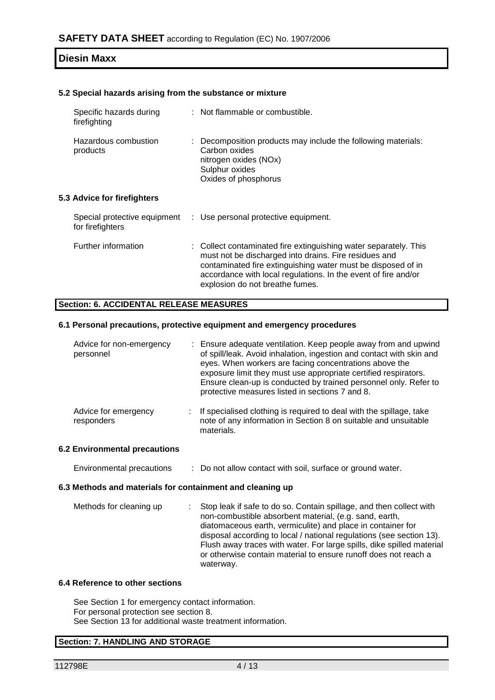#### **5.2 Special hazards arising from the substance or mixture**

| Specific hazards during<br>firefighting          | : Not flammable or combustible.                                                                                                                                                                                                                                                                |
|--------------------------------------------------|------------------------------------------------------------------------------------------------------------------------------------------------------------------------------------------------------------------------------------------------------------------------------------------------|
| Hazardous combustion<br>products                 | Decomposition products may include the following materials:<br>Carbon oxides<br>nitrogen oxides (NOx)<br>Sulphur oxides<br>Oxides of phosphorus                                                                                                                                                |
| 5.3 Advice for firefighters                      |                                                                                                                                                                                                                                                                                                |
| Special protective equipment<br>for firefighters | : Use personal protective equipment.                                                                                                                                                                                                                                                           |
| Further information                              | : Collect contaminated fire extinguishing water separately. This<br>must not be discharged into drains. Fire residues and<br>contaminated fire extinguishing water must be disposed of in<br>accordance with local regulations. In the event of fire and/or<br>explosion do not breathe fumes. |

### **Section: 6. ACCIDENTAL RELEASE MEASURES**

## **6.1 Personal precautions, protective equipment and emergency procedures**

| Advice for non-emergency<br>personnel | : Ensure adequate ventilation. Keep people away from and upwind<br>of spill/leak. Avoid inhalation, ingestion and contact with skin and<br>eyes. When workers are facing concentrations above the<br>exposure limit they must use appropriate certified respirators.<br>Ensure clean-up is conducted by trained personnel only. Refer to<br>protective measures listed in sections 7 and 8. |
|---------------------------------------|---------------------------------------------------------------------------------------------------------------------------------------------------------------------------------------------------------------------------------------------------------------------------------------------------------------------------------------------------------------------------------------------|
| Advice for emergency<br>responders    | If specialised clothing is required to deal with the spillage, take<br>note of any information in Section 8 on suitable and unsuitable<br>materials.                                                                                                                                                                                                                                        |

#### **6.2 Environmental precautions**

Environmental precautions : Do not allow contact with soil, surface or ground water.

#### **6.3 Methods and materials for containment and cleaning up**

| Methods for cleaning up | Stop leak if safe to do so. Contain spillage, and then collect with<br>non-combustible absorbent material, (e.g. sand, earth, |
|-------------------------|-------------------------------------------------------------------------------------------------------------------------------|
|                         | diatomaceous earth, vermiculite) and place in container for                                                                   |
|                         | disposal according to local / national regulations (see section 13).                                                          |
|                         | Flush away traces with water. For large spills, dike spilled material                                                         |
|                         | or otherwise contain material to ensure runoff does not reach a                                                               |
|                         | waterway.                                                                                                                     |

#### **6.4 Reference to other sections**

See Section 1 for emergency contact information. For personal protection see section 8. See Section 13 for additional waste treatment information.

#### **Section: 7. HANDLING AND STORAGE**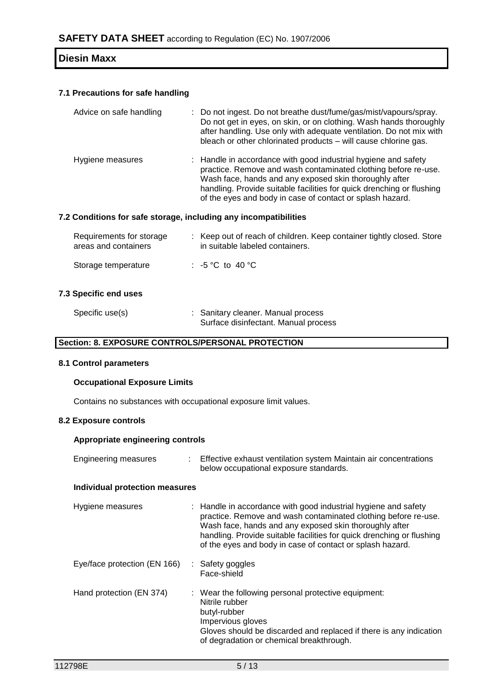#### **7.1 Precautions for safe handling**

| Advice on safe handling | : Do not ingest. Do not breathe dust/fume/gas/mist/vapours/spray.<br>Do not get in eyes, on skin, or on clothing. Wash hands thoroughly<br>after handling. Use only with adequate ventilation. Do not mix with<br>bleach or other chlorinated products - will cause chlorine gas.                                                |
|-------------------------|----------------------------------------------------------------------------------------------------------------------------------------------------------------------------------------------------------------------------------------------------------------------------------------------------------------------------------|
| Hygiene measures        | : Handle in accordance with good industrial hygiene and safety<br>practice. Remove and wash contaminated clothing before re-use.<br>Wash face, hands and any exposed skin thoroughly after<br>handling. Provide suitable facilities for quick drenching or flushing<br>of the eyes and body in case of contact or splash hazard. |

### **7.2 Conditions for safe storage, including any incompatibilities**

| Requirements for storage<br>areas and containers | : Keep out of reach of children. Keep container tightly closed. Store<br>in suitable labeled containers. |
|--------------------------------------------------|----------------------------------------------------------------------------------------------------------|
| Storage temperature                              | : -5 °C to 40 °C                                                                                         |

#### **7.3 Specific end uses**

| Specific use(s) | : Sanitary cleaner. Manual process   |
|-----------------|--------------------------------------|
|                 | Surface disinfectant. Manual process |

#### **Section: 8. EXPOSURE CONTROLS/PERSONAL PROTECTION**

## **8.1 Control parameters**

#### **Occupational Exposure Limits**

Contains no substances with occupational exposure limit values.

#### **8.2 Exposure controls**

#### **Appropriate engineering controls**

| <b>Engineering measures</b>           | t. | Effective exhaust ventilation system Maintain air concentrations<br>below occupational exposure standards.                                                                                                                                                                                                                       |  |
|---------------------------------------|----|----------------------------------------------------------------------------------------------------------------------------------------------------------------------------------------------------------------------------------------------------------------------------------------------------------------------------------|--|
| <b>Individual protection measures</b> |    |                                                                                                                                                                                                                                                                                                                                  |  |
| Hygiene measures                      |    | : Handle in accordance with good industrial hygiene and safety<br>practice. Remove and wash contaminated clothing before re-use.<br>Wash face, hands and any exposed skin thoroughly after<br>handling. Provide suitable facilities for quick drenching or flushing<br>of the eyes and body in case of contact or splash hazard. |  |
| Eye/face protection (EN 166)          |    | : Safety goggles<br>Face-shield                                                                                                                                                                                                                                                                                                  |  |
| Hand protection (EN 374)              |    | : Wear the following personal protective equipment:<br>Nitrile rubber<br>butyl-rubber<br>Impervious gloves<br>Gloves should be discarded and replaced if there is any indication<br>of degradation or chemical breakthrough.                                                                                                     |  |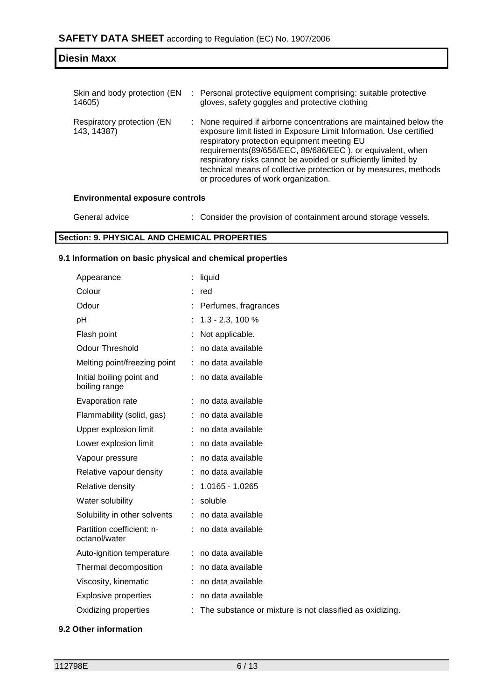| Skin and body protection (EN<br>14605)    | : Personal protective equipment comprising: suitable protective<br>gloves, safety goggles and protective clothing                                                                                                                                                                                                                                                                                                                  |  |  |  |
|-------------------------------------------|------------------------------------------------------------------------------------------------------------------------------------------------------------------------------------------------------------------------------------------------------------------------------------------------------------------------------------------------------------------------------------------------------------------------------------|--|--|--|
| Respiratory protection (EN<br>143, 14387) | : None required if airborne concentrations are maintained below the<br>exposure limit listed in Exposure Limit Information. Use certified<br>respiratory protection equipment meeting EU<br>requirements(89/656/EEC, 89/686/EEC), or equivalent, when<br>respiratory risks cannot be avoided or sufficiently limited by<br>technical means of collective protection or by measures, methods<br>or procedures of work organization. |  |  |  |
| <b>Environmental exposure controls</b>    |                                                                                                                                                                                                                                                                                                                                                                                                                                    |  |  |  |

#### **Environmental exposure controls**

**Diesin Maxx**

General advice : Consider the provision of containment around storage vessels.

## **Section: 9. PHYSICAL AND CHEMICAL PROPERTIES**

### **9.1 Information on basic physical and chemical properties**

| Appearance                                 | liquid                                                     |
|--------------------------------------------|------------------------------------------------------------|
| Colour                                     | red                                                        |
| Odour                                      | Perfumes, fragrances                                       |
| pH                                         | $: 1.3 - 2.3, 100\%$                                       |
| Flash point                                | Not applicable.                                            |
| <b>Odour Threshold</b>                     | no data available                                          |
| Melting point/freezing point               | : no data available                                        |
| Initial boiling point and<br>boiling range | : no data available                                        |
| Evaporation rate                           | : no data available                                        |
| Flammability (solid, gas)                  | : no data available                                        |
| Upper explosion limit                      | no data available                                          |
| Lower explosion limit                      | no data available                                          |
| Vapour pressure                            | no data available                                          |
| Relative vapour density                    | : no data available                                        |
| Relative density                           | $: 1.0165 - 1.0265$                                        |
| Water solubility                           | : soluble                                                  |
| Solubility in other solvents               | : no data available                                        |
| Partition coefficient: n-<br>octanol/water | : no data available                                        |
| Auto-ignition temperature                  | : no data available                                        |
| Thermal decomposition                      | : no data available                                        |
| Viscosity, kinematic                       | no data available                                          |
| <b>Explosive properties</b>                | no data available                                          |
| Oxidizing properties                       | : The substance or mixture is not classified as oxidizing. |

## **9.2 Other information**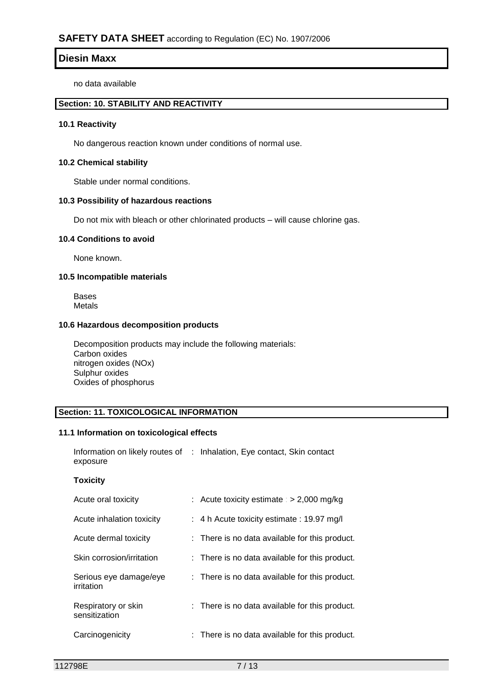no data available

## **Section: 10. STABILITY AND REACTIVITY**

## **10.1 Reactivity**

No dangerous reaction known under conditions of normal use.

#### **10.2 Chemical stability**

Stable under normal conditions.

#### **10.3 Possibility of hazardous reactions**

Do not mix with bleach or other chlorinated products – will cause chlorine gas.

#### **10.4 Conditions to avoid**

None known.

#### **10.5 Incompatible materials**

Bases Metals

## **10.6 Hazardous decomposition products**

Decomposition products may include the following materials: Carbon oxides nitrogen oxides (NOx) Sulphur oxides Oxides of phosphorus

## **Section: 11. TOXICOLOGICAL INFORMATION**

#### **11.1 Information on toxicological effects**

Information on likely routes of : Inhalation, Eye contact, Skin contact exposure

#### **Toxicity**

| Acute oral toxicity                  | : Acute toxicity estimate : $> 2,000$ mg/kg          |
|--------------------------------------|------------------------------------------------------|
| Acute inhalation toxicity            | $\div$ 4 h Acute toxicity estimate $\div$ 19.97 mg/l |
| Acute dermal toxicity                | : There is no data available for this product.       |
| Skin corrosion/irritation            | : There is no data available for this product.       |
| Serious eye damage/eye<br>irritation | : There is no data available for this product.       |
| Respiratory or skin<br>sensitization | : There is no data available for this product.       |
| Carcinogenicity                      | : There is no data available for this product.       |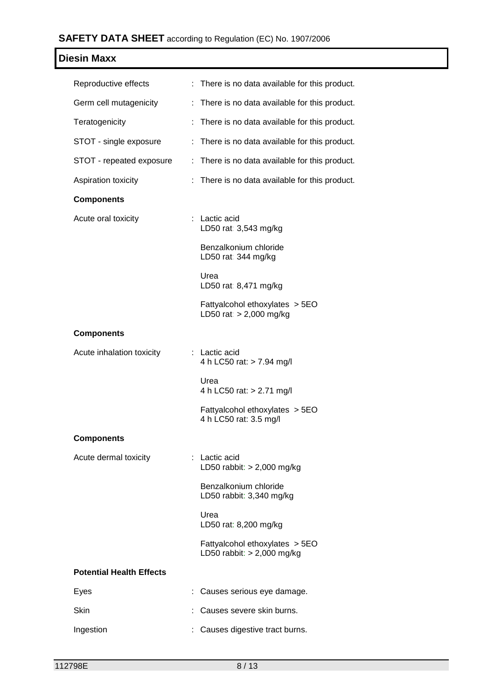# **SAFETY DATA SHEET** according to Regulation (EC) No. 1907/2006

| <b>Diesin Maxx</b>              |                                                                |
|---------------------------------|----------------------------------------------------------------|
| Reproductive effects            | : There is no data available for this product.                 |
| Germ cell mutagenicity          | : There is no data available for this product.                 |
| Teratogenicity                  | : There is no data available for this product.                 |
| STOT - single exposure          | There is no data available for this product.<br>÷.             |
| STOT - repeated exposure        | : There is no data available for this product.                 |
| Aspiration toxicity             | : There is no data available for this product.                 |
| <b>Components</b>               |                                                                |
| Acute oral toxicity             | : Lactic acid<br>LD50 rat: 3,543 mg/kg                         |
|                                 | Benzalkonium chloride<br>LD50 rat: 344 mg/kg                   |
|                                 | Urea<br>LD50 rat: 8,471 mg/kg                                  |
|                                 | Fattyalcohol ethoxylates > 5EO<br>LD50 rat: $> 2,000$ mg/kg    |
| <b>Components</b>               |                                                                |
| Acute inhalation toxicity       | : Lactic acid<br>4 h LC50 rat: > 7.94 mg/l                     |
|                                 | Urea<br>4 h LC50 rat: > 2.71 mg/l                              |
|                                 | Fattyalcohol ethoxylates > 5EO<br>4 h LC50 rat: 3.5 mg/l       |
| <b>Components</b>               |                                                                |
| Acute dermal toxicity           | : Lactic acid<br>LD50 rabbit: $> 2,000$ mg/kg                  |
|                                 | Benzalkonium chloride<br>LD50 rabbit: 3,340 mg/kg              |
|                                 | Urea<br>LD50 rat: 8,200 mg/kg                                  |
|                                 | Fattyalcohol ethoxylates > 5EO<br>LD50 rabbit: $> 2,000$ mg/kg |
| <b>Potential Health Effects</b> |                                                                |
| Eyes                            | Causes serious eye damage.                                     |
| Skin                            | Causes severe skin burns.                                      |
| Ingestion                       | Causes digestive tract burns.                                  |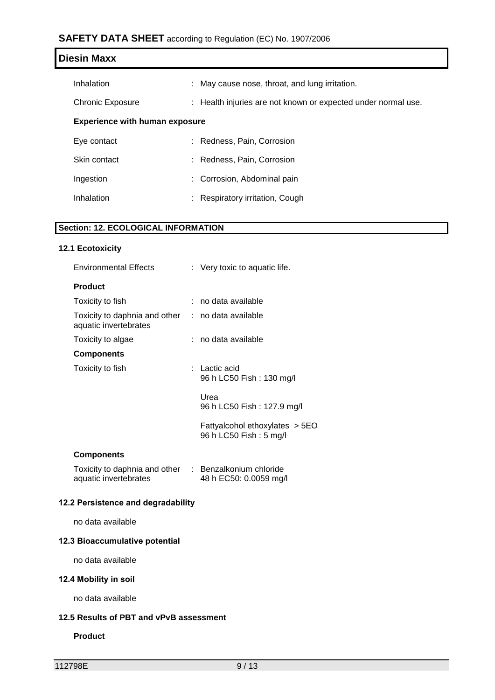## **SAFETY DATA SHEET** according to Regulation (EC) No. 1907/2006

| <b>Diesin Maxx</b>                    |                                                               |
|---------------------------------------|---------------------------------------------------------------|
| Inhalation                            | : May cause nose, throat, and lung irritation.                |
| <b>Chronic Exposure</b>               | : Health injuries are not known or expected under normal use. |
| <b>Experience with human exposure</b> |                                                               |
| Eye contact                           | : Redness, Pain, Corrosion                                    |
| Skin contact                          | : Redness, Pain, Corrosion                                    |
| Ingestion                             | : Corrosion, Abdominal pain                                   |
| Inhalation                            | Respiratory irritation, Cough<br>÷.                           |

## **Section: 12. ECOLOGICAL INFORMATION**

## **12.1 Ecotoxicity**

| <b>Environmental Effects</b>                                                   |  | : Very toxic to aquatic life.                            |
|--------------------------------------------------------------------------------|--|----------------------------------------------------------|
| <b>Product</b>                                                                 |  |                                                          |
| Toxicity to fish                                                               |  | : no data available                                      |
| Toxicity to daphnia and other<br>aquatic invertebrates                         |  | : no data available                                      |
| Toxicity to algae                                                              |  | : no data available                                      |
| <b>Components</b>                                                              |  |                                                          |
| Toxicity to fish                                                               |  | : Lactic acid<br>96 h LC50 Fish: 130 mg/l                |
|                                                                                |  | Urea<br>96 h LC50 Fish : 127.9 mg/l                      |
|                                                                                |  | Fattyalcohol ethoxylates > 5EO<br>96 h LC50 Fish: 5 mg/l |
| <b>Components</b>                                                              |  |                                                          |
| Toxicity to daphnia and other : Benzalkonium chloride<br>aquatic invertebrates |  | 48 h EC50: 0.0059 mg/l                                   |

## **12.2 Persistence and degradability**

no data available

## **12.3 Bioaccumulative potential**

no data available

## **12.4 Mobility in soil**

no data available

## **12.5 Results of PBT and vPvB assessment**

### **Product**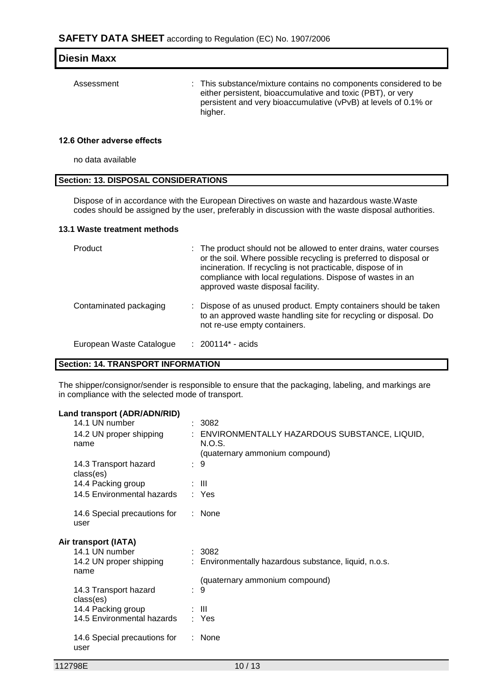| <b>Diesin Maxx</b> |                                                                                                                                                                                                               |
|--------------------|---------------------------------------------------------------------------------------------------------------------------------------------------------------------------------------------------------------|
| Assessment         | : This substance/mixture contains no components considered to be<br>either persistent, bioaccumulative and toxic (PBT), or very<br>persistent and very bioaccumulative (vPvB) at levels of 0.1% or<br>higher. |

### **12.6 Other adverse effects**

no data available

#### **Section: 13. DISPOSAL CONSIDERATIONS**

Dispose of in accordance with the European Directives on waste and hazardous waste.Waste codes should be assigned by the user, preferably in discussion with the waste disposal authorities.

#### **13.1 Waste treatment methods**

| Product                  | : The product should not be allowed to enter drains, water courses<br>or the soil. Where possible recycling is preferred to disposal or<br>incineration. If recycling is not practicable, dispose of in<br>compliance with local regulations. Dispose of wastes in an<br>approved waste disposal facility. |
|--------------------------|------------------------------------------------------------------------------------------------------------------------------------------------------------------------------------------------------------------------------------------------------------------------------------------------------------|
| Contaminated packaging   | : Dispose of as unused product. Empty containers should be taken<br>to an approved waste handling site for recycling or disposal. Do<br>not re-use empty containers.                                                                                                                                       |
| European Waste Catalogue | : 200114* - acids                                                                                                                                                                                                                                                                                          |

### **Section: 14. TRANSPORT INFORMATION**

The shipper/consignor/sender is responsible to ensure that the packaging, labeling, and markings are in compliance with the selected mode of transport.

#### **Land transport (ADR/ADN/RID)**

| 14.1 UN number                       | : 3082                                                   |
|--------------------------------------|----------------------------------------------------------|
| 14.2 UN proper shipping<br>name      | : ENVIRONMENTALLY HAZARDOUS SUBSTANCE, LIQUID,<br>N.O.S. |
|                                      | (quaternary ammonium compound)                           |
| 14.3 Transport hazard<br>class(es)   | : 9                                                      |
| 14.4 Packing group                   | ÷ III.                                                   |
| 14.5 Environmental hazards           | : Yes                                                    |
| 14.6 Special precautions for<br>user | : None                                                   |
| Air transport (IATA)                 |                                                          |
| 14.1 UN number                       | : 3082                                                   |
| 14.2 UN proper shipping<br>name      | : Environmentally hazardous substance, liquid, n.o.s.    |
|                                      | (quaternary ammonium compound)                           |
| 14.3 Transport hazard<br>class(es)   | : 9                                                      |
| 14.4 Packing group                   | ÷ III                                                    |
| 14.5 Environmental hazards           | : Yes                                                    |
| 14.6 Special precautions for<br>user | $:$ None                                                 |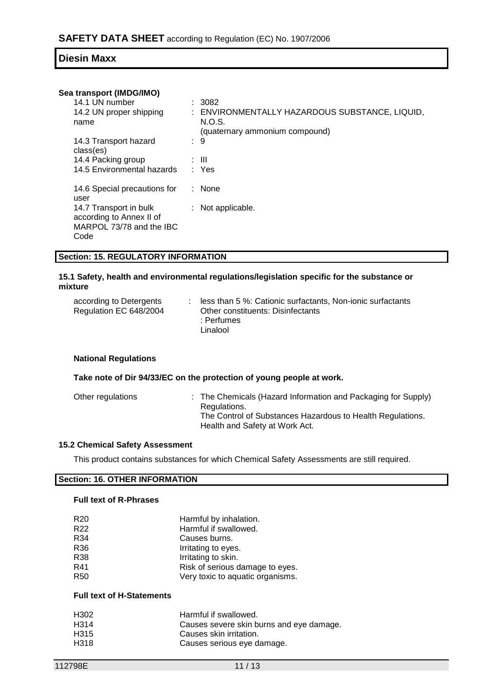#### **Sea transport (IMDG/IMO)**

| 14.1 UN number                                                                         | $\therefore$ 3082                              |
|----------------------------------------------------------------------------------------|------------------------------------------------|
| 14.2 UN proper shipping                                                                | : ENVIRONMENTALLY HAZARDOUS SUBSTANCE, LIQUID, |
| name                                                                                   | N.O.S.                                         |
|                                                                                        | (quaternary ammonium compound)                 |
| 14.3 Transport hazard                                                                  | -9                                             |
| class(es)                                                                              |                                                |
| 14.4 Packing group                                                                     | : III                                          |
| 14.5 Environmental hazards                                                             | : Yes                                          |
| 14.6 Special precautions for                                                           | $:$ None                                       |
| user                                                                                   |                                                |
| 14.7 Transport in bulk<br>according to Annex II of<br>MARPOL 73/78 and the IBC<br>Code | : Not applicable.                              |
|                                                                                        |                                                |

#### **Section: 15. REGULATORY INFORMATION**

#### **15.1 Safety, health and environmental regulations/legislation specific for the substance or mixture**

| according to Detergents | less than 5 %: Cationic surfactants, Non-ionic surfactants |
|-------------------------|------------------------------------------------------------|
| Regulation EC 648/2004  | Other constituents: Disinfectants                          |
|                         | : Perfumes                                                 |
|                         | Linalool                                                   |

#### **National Regulations**

#### **Take note of Dir 94/33/EC on the protection of young people at work.**

| The Control of Substances Hazardous to Health Regulations.<br>Health and Safety at Work Act. | Other regulations | : The Chemicals (Hazard Information and Packaging for Supply)<br>Regulations. |  |
|----------------------------------------------------------------------------------------------|-------------------|-------------------------------------------------------------------------------|--|
|----------------------------------------------------------------------------------------------|-------------------|-------------------------------------------------------------------------------|--|

#### **15.2 Chemical Safety Assessment**

This product contains substances for which Chemical Safety Assessments are still required.

## **Section: 16. OTHER INFORMATION**

## **Full text of R-Phrases**

| R <sub>20</sub> | Harmful by inhalation.           |
|-----------------|----------------------------------|
| R <sub>22</sub> | Harmful if swallowed.            |
| R34             | Causes burns.                    |
| R <sub>36</sub> | Irritating to eyes.              |
| R38             | Irritating to skin.              |
| R41             | Risk of serious damage to eyes.  |
| <b>R50</b>      | Very toxic to aquatic organisms. |

#### **Full text of H-Statements**

| H302             | Harmful if swallowed.                    |
|------------------|------------------------------------------|
| H <sub>314</sub> | Causes severe skin burns and eye damage. |
| H <sub>315</sub> | Causes skin irritation.                  |
| H318             | Causes serious eye damage.               |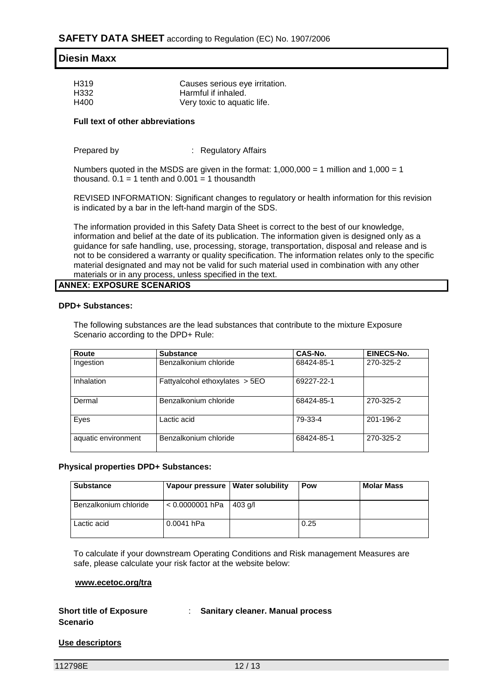| H319 | Causes serious eye irritation. |
|------|--------------------------------|
| H332 | Harmful if inhaled.            |
| H400 | Very toxic to aquatic life.    |

#### **Full text of other abbreviations**

| Prepared by | <b>Regulatory Affairs</b> |
|-------------|---------------------------|
|-------------|---------------------------|

Numbers quoted in the MSDS are given in the format:  $1,000,000 = 1$  million and  $1,000 = 1$ thousand.  $0.1 = 1$  tenth and  $0.001 = 1$  thousandth

REVISED INFORMATION: Significant changes to regulatory or health information for this revision is indicated by a bar in the left-hand margin of the SDS.

The information provided in this Safety Data Sheet is correct to the best of our knowledge, information and belief at the date of its publication. The information given is designed only as a guidance for safe handling, use, processing, storage, transportation, disposal and release and is not to be considered a warranty or quality specification. The information relates only to the specific material designated and may not be valid for such material used in combination with any other materials or in any process, unless specified in the text.

#### **ANNEX: EXPOSURE SCENARIOS**

#### **DPD+ Substances:**

The following substances are the lead substances that contribute to the mixture Exposure Scenario according to the DPD+ Rule:

| Route               | <b>Substance</b>                 | CAS-No.    | <b>EINECS-No.</b> |
|---------------------|----------------------------------|------------|-------------------|
| Ingestion           | Benzalkonium chloride            | 68424-85-1 | 270-325-2         |
| <b>Inhalation</b>   | Fattyalcohol ethoxylates $>$ 5EO | 69227-22-1 |                   |
| Dermal              | Benzalkonium chloride            | 68424-85-1 | 270-325-2         |
| Eyes                | Lactic acid                      | 79-33-4    | 201-196-2         |
| aquatic environment | Benzalkonium chloride            | 68424-85-1 | 270-325-2         |

#### **Physical properties DPD+ Substances:**

| <b>Substance</b>      | Vapour pressure   Water solubility | Pow  | <b>Molar Mass</b> |
|-----------------------|------------------------------------|------|-------------------|
| Benzalkonium chloride | $< 0.0000001$ hPa   403 g/l        |      |                   |
| Lactic acid           | 0.0041 hPa                         | 0.25 |                   |

To calculate if your downstream Operating Conditions and Risk management Measures are safe, please calculate your risk factor at the website below:

#### **www.ecetoc.org/tra**

#### **Short title of Exposure**  : **Sanitary cleaner. Manual process**

**Scenario**

## **Use descriptors**